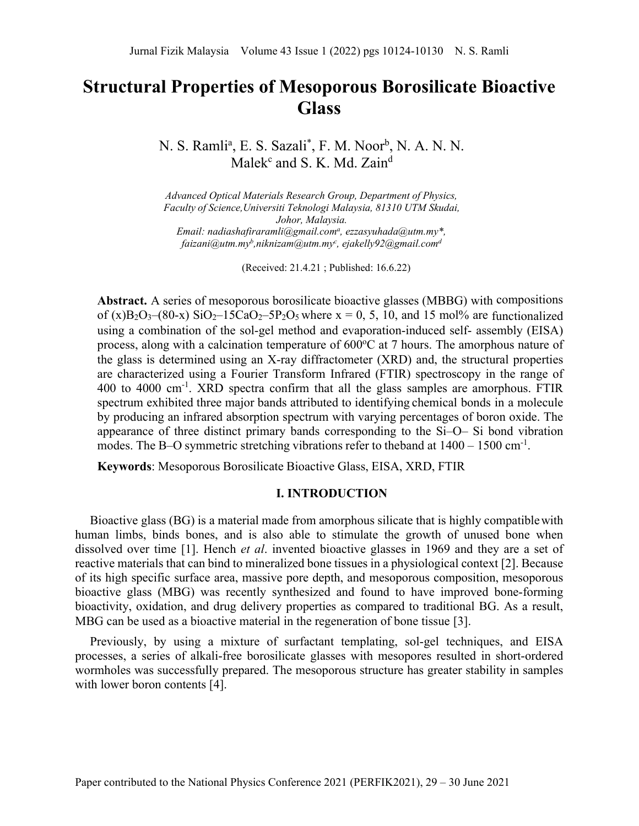# **Structural Properties of Mesoporous Borosilicate Bioactive Glass**

N. S. Ramli<sup>a</sup>, E. S. Sazali<sup>\*</sup>, F. M. Noor<sup>b</sup>, N. A. N. N. Malek $c$  and S. K. Md. Zain<sup>d</sup>

*Advanced Optical Materials Research Group, Department of Physics, Faculty of Science,Universiti Teknologi Malaysia, 81310 UTM Skudai, Johor, Malaysia. Email: [nadiashafiraramli@gmail.coma](mailto:nadiashafiraramli@gmail.coma) , [ezzasyuhada@utm.my\\*](mailto:ezzasyuhada@utm.my), [faizani@utm.myb](mailto:faizani@utm.myb) [,niknizam@utm.myc](mailto:niknizam@utm.myc) , [ejakelly92@gmail.comd](mailto:ejakelly92@gmail.com)*

(Received: 21.4.21 ; Published: 16.6.22)

**Abstract.** A series of mesoporous borosilicate bioactive glasses (MBBG) with compositions of (x)B<sub>2</sub>O<sub>3</sub>–(80-x) SiO<sub>2</sub>–15CaO<sub>2</sub>–5P<sub>2</sub>O<sub>5</sub> where x = 0, 5, 10, and 15 mol% are functionalized using a combination of the sol-gel method and evaporation-induced self- assembly (EISA) process, along with a calcination temperature of 600°C at 7 hours. The amorphous nature of the glass is determined using an X-ray diffractometer (XRD) and, the structural properties are characterized using a Fourier Transform Infrared (FTIR) spectroscopy in the range of 400 to 4000 cm<sup>-1</sup>. XRD spectra confirm that all the glass samples are amorphous. FTIR spectrum exhibited three major bands attributed to identifying chemical bonds in a molecule by producing an infrared absorption spectrum with varying percentages of boron oxide. The appearance of three distinct primary bands corresponding to the Si–O– Si bond vibration modes. The B–O symmetric stretching vibrations refer to theband at  $1400 - 1500$  cm<sup>-1</sup>.

**Keywords**: Mesoporous Borosilicate Bioactive Glass, EISA, XRD, FTIR

### **I. INTRODUCTION**

Bioactive glass (BG) is a material made from amorphous silicate that is highly compatiblewith human limbs, binds bones, and is also able to stimulate the growth of unused bone when dissolved over time [1]. Hench *et al*. invented bioactive glasses in 1969 and they are a set of reactive materials that can bind to mineralized bone tissues in a physiological context [2]. Because of its high specific surface area, massive pore depth, and mesoporous composition, mesoporous bioactive glass (MBG) was recently synthesized and found to have improved bone-forming bioactivity, oxidation, and drug delivery properties as compared to traditional BG. As a result, MBG can be used as a bioactive material in the regeneration of bone tissue [3].

Previously, by using a mixture of surfactant templating, sol-gel techniques, and EISA processes, a series of alkali-free borosilicate glasses with mesopores resulted in short-ordered wormholes was successfully prepared. The mesoporous structure has greater stability in samples with lower boron contents [4].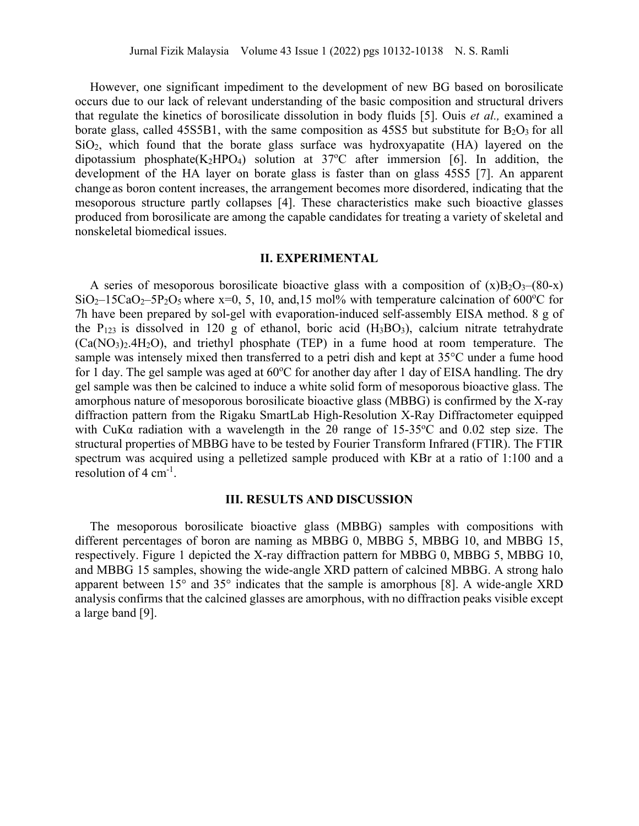However, one significant impediment to the development of new BG based on borosilicate occurs due to our lack of relevant understanding of the basic composition and structural drivers that regulate the kinetics of borosilicate dissolution in body fluids [5]. Ouis *et al.,* examined a borate glass, called 45S5B1, with the same composition as 45S5 but substitute for  $B_2O_3$  for all  $SiO<sub>2</sub>$ , which found that the borate glass surface was hydroxyapatite (HA) layered on the dipotassium phosphate(K<sub>2</sub>HPO<sub>4</sub>) solution at  $37^{\circ}$ C after immersion [6]. In addition, the development of the HA layer on borate glass is faster than on glass 45S5 [7]. An apparent change as boron content increases, the arrangement becomes more disordered, indicating that the mesoporous structure partly collapses [4]. These characteristics make such bioactive glasses produced from borosilicate are among the capable candidates for treating a variety of skeletal and nonskeletal biomedical issues.

## **II. EXPERIMENTAL**

A series of mesoporous borosilicate bioactive glass with a composition of  $(x)B_2O_3-(80-x)$  $SiO_2-15CaO_2-5P_2O_5$  where x=0, 5, 10, and,15 mol% with temperature calcination of 600°C for 7h have been prepared by sol-gel with evaporation-induced self-assembly EISA method. 8 g of the  $P_{123}$  is dissolved in 120 g of ethanol, boric acid  $(H_3BO_3)$ , calcium nitrate tetrahydrate  $(Ca(NO<sub>3</sub>)<sub>2</sub>·4H<sub>2</sub>O)$ , and triethyl phosphate (TEP) in a fume hood at room temperature. The sample was intensely mixed then transferred to a petri dish and kept at 35°C under a fume hood for 1 day. The gel sample was aged at 60°C for another day after 1 day of EISA handling. The dry gel sample was then be calcined to induce a white solid form of mesoporous bioactive glass. The amorphous nature of mesoporous borosilicate bioactive glass (MBBG) is confirmed by the X-ray diffraction pattern from the Rigaku SmartLab High-Resolution X-Ray Diffractometer equipped with CuKa radiation with a wavelength in the 20 range of  $15{\text -}35^{\circ}\text{C}$  and 0.02 step size. The structural properties of MBBG have to be tested by Fourier Transform Infrared (FTIR). The FTIR spectrum was acquired using a pelletized sample produced with KBr at a ratio of 1:100 and a resolution of  $4 \text{ cm}^{-1}$ .

#### **III. RESULTS AND DISCUSSION**

The mesoporous borosilicate bioactive glass (MBBG) samples with compositions with different percentages of boron are naming as MBBG 0, MBBG 5, MBBG 10, and MBBG 15, respectively. Figure 1 depicted the X-ray diffraction pattern for MBBG 0, MBBG 5, MBBG 10, and MBBG 15 samples, showing the wide-angle XRD pattern of calcined MBBG. A strong halo apparent between 15° and 35° indicates that the sample is amorphous [8]. A wide-angle XRD analysis confirms that the calcined glasses are amorphous, with no diffraction peaks visible except a large band [9].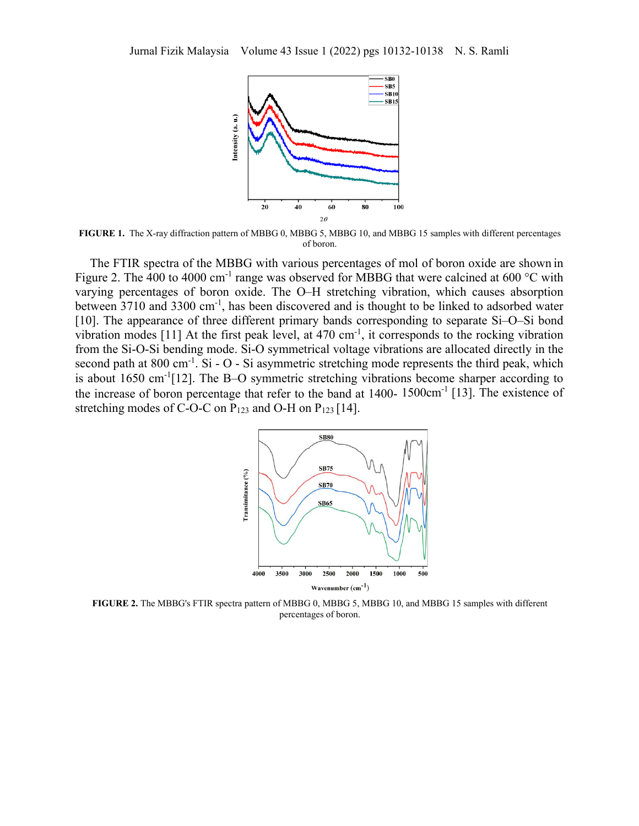

**FIGURE 1.** The X-ray diffraction pattern of MBBG 0, MBBG 5, MBBG 10, and MBBG 15 samples with different percentages of boron.

The FTIR spectra of the MBBG with various percentages of mol of boron oxide are shown in Figure 2. The 400 to 4000 cm<sup>-1</sup> range was observed for MBBG that were calcined at 600 °C with varying percentages of boron oxide. The O–H stretching vibration, which causes absorption between 3710 and 3300 cm-1, has been discovered and is thought to be linked to adsorbed water [10]. The appearance of three different primary bands corresponding to separate Si–O–Si bond vibration modes [11] At the first peak level, at  $470 \text{ cm}^{-1}$ , it corresponds to the rocking vibration from the Si-O-Si bending mode. Si-O symmetrical voltage vibrations are allocated directly in the second path at  $800 \text{ cm}^{-1}$ . Si - O - Si asymmetric stretching mode represents the third peak, which is about 1650 cm-1[12]. The B–O symmetric stretching vibrations become sharper according to the increase of boron percentage that refer to the band at  $1400 - 1500 \text{cm}^{-1}$  [13]. The existence of stretching modes of C-O-C on  $P_{123}$  and O-H on  $P_{123}$  [14].



**FIGURE 2.** The MBBG's FTIR spectra pattern of MBBG 0, MBBG 5, MBBG 10, and MBBG 15 samples with different percentages of boron.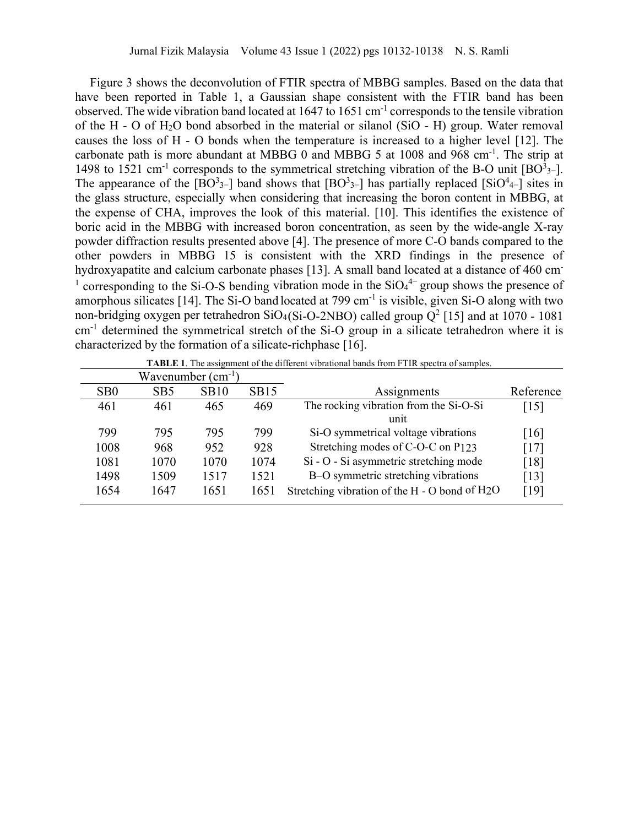Figure 3 shows the deconvolution of FTIR spectra of MBBG samples. Based on the data that have been reported in Table 1, a Gaussian shape consistent with the FTIR band has been observed. The wide vibration band located at 1647 to 1651 cm-1 corresponds to the tensile vibration of the H - O of  $H_2O$  bond absorbed in the material or silanol (SiO - H) group. Water removal causes the loss of H - O bonds when the temperature is increased to a higher level [12]. The carbonate path is more abundant at MBBG 0 and MBBG 5 at 1008 and 968 cm<sup>-1</sup>. The strip at 1498 to 1521 cm<sup>-1</sup> corresponds to the symmetrical stretching vibration of the B-O unit  $[BO<sup>3</sup>3-]$ . The appearance of the  $[BO<sup>3</sup>3-]$  band shows that  $[BO<sup>3</sup>3-]$  has partially replaced  $[SiO<sup>4</sup>4-]$  sites in the glass structure, especially when considering that increasing the boron content in MBBG, at the expense of CHA, improves the look of this material. [10]. This identifies the existence of boric acid in the MBBG with increased boron concentration, as seen by the wide-angle X-ray powder diffraction results presented above [4]. The presence of more C-O bands compared to the other powders in MBBG 15 is consistent with the XRD findings in the presence of hydroxyapatite and calcium carbonate phases [13]. A small band located at a distance of 460 cm <sup>1</sup> corresponding to the Si-O-S bending vibration mode in the  $SiO<sub>4</sub><sup>4-</sup>$  group shows the presence of amorphous silicates [14]. The Si-O band located at 799 cm<sup>-1</sup> is visible, given Si-O along with two non-bridging oxygen per tetrahedron  $SiO_4(Si-O-2NBO)$  called group  $Q^2$  [15] and at 1070 - 1081 cm<sup>-1</sup> determined the symmetrical stretch of the Si-O group in a silicate tetrahedron where it is characterized by the formation of a silicate-richphase [16].

| Wavenumber $(cm^{-1})$ |                 |      |      |                                                |                    |
|------------------------|-----------------|------|------|------------------------------------------------|--------------------|
| S <sub>B</sub> 0       | SB <sub>5</sub> | SB10 | SB15 | Assignments                                    | Reference          |
| 461                    | 461             | 465  | 469  | The rocking vibration from the Si-O-Si<br>unit | $[15]$             |
| 799                    | 795             | 795  | 799  | Si-O symmetrical voltage vibrations            | $\lceil 16 \rceil$ |
| 1008                   | 968             | 952  | 928  | Stretching modes of C-O-C on P123              | [17]               |
| 1081                   | 1070            | 1070 | 1074 | Si - O - Si asymmetric stretching mode         | [18]               |
| 1498                   | 1509            | 1517 | 1521 | B-O symmetric stretching vibrations            | $\lceil 13 \rceil$ |
| 1654                   | 1647            | 1651 | 1651 | Stretching vibration of the H - O bond of H2O  | [19]               |

**TABLE 1**. The assignment of the different vibrational bands from FTIR spectra of samples.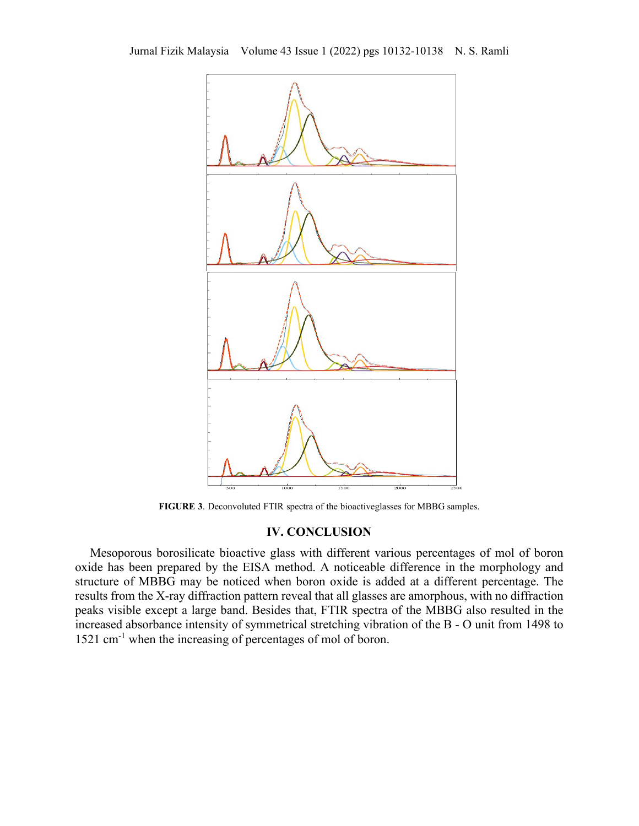

**FIGURE 3**. Deconvoluted FTIR spectra of the bioactiveglasses for MBBG samples.

## **IV. CONCLUSION**

Mesoporous borosilicate bioactive glass with different various percentages of mol of boron oxide has been prepared by the EISA method. A noticeable difference in the morphology and structure of MBBG may be noticed when boron oxide is added at a different percentage. The results from the X-ray diffraction pattern reveal that all glasses are amorphous, with no diffraction peaks visible except a large band. Besides that, FTIR spectra of the MBBG also resulted in the increased absorbance intensity of symmetrical stretching vibration of the B - O unit from 1498 to 1521 cm<sup>-1</sup> when the increasing of percentages of mol of boron.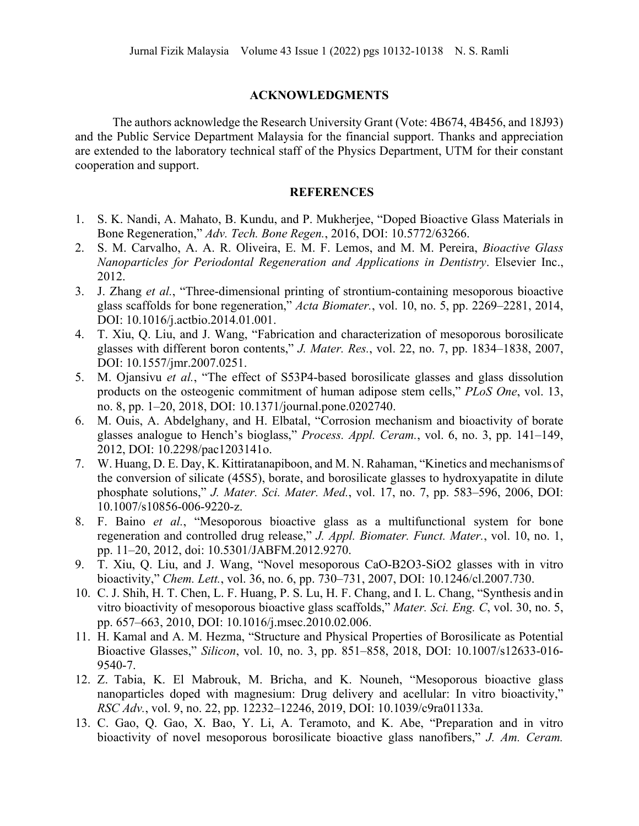## **ACKNOWLEDGMENTS**

The authors acknowledge the Research University Grant (Vote: 4B674, 4B456, and 18J93) and the Public Service Department Malaysia for the financial support. Thanks and appreciation are extended to the laboratory technical staff of the Physics Department, UTM for their constant cooperation and support.

## **REFERENCES**

- 1. S. K. Nandi, A. Mahato, B. Kundu, and P. Mukherjee, "Doped Bioactive Glass Materials in Bone Regeneration," *Adv. Tech. Bone Regen.*, 2016, DOI: 10.5772/63266.
- 2. S. M. Carvalho, A. A. R. Oliveira, E. M. F. Lemos, and M. M. Pereira, *Bioactive Glass Nanoparticles for Periodontal Regeneration and Applications in Dentistry*. Elsevier Inc., 2012.
- 3. J. Zhang *et al.*, "Three-dimensional printing of strontium-containing mesoporous bioactive glass scaffolds for bone regeneration," *Acta Biomater.*, vol. 10, no. 5, pp. 2269–2281, 2014, DOI: 10.1016/j.actbio.2014.01.001.
- 4. T. Xiu, Q. Liu, and J. Wang, "Fabrication and characterization of mesoporous borosilicate glasses with different boron contents," *J. Mater. Res.*, vol. 22, no. 7, pp. 1834–1838, 2007, DOI: 10.1557/jmr.2007.0251.
- 5. M. Ojansivu *et al.*, "The effect of S53P4-based borosilicate glasses and glass dissolution products on the osteogenic commitment of human adipose stem cells," *PLoS One*, vol. 13, no. 8, pp. 1–20, 2018, DOI: 10.1371/journal.pone.0202740.
- 6. M. Ouis, A. Abdelghany, and H. Elbatal, "Corrosion mechanism and bioactivity of borate glasses analogue to Hench's bioglass," *Process. Appl. Ceram.*, vol. 6, no. 3, pp. 141–149, 2012, DOI: 10.2298/pac1203141o.
- 7. W. Huang, D. E. Day, K. Kittiratanapiboon, and M. N. Rahaman, "Kinetics and mechanismsof the conversion of silicate (45S5), borate, and borosilicate glasses to hydroxyapatite in dilute phosphate solutions," *J. Mater. Sci. Mater. Med.*, vol. 17, no. 7, pp. 583–596, 2006, DOI: 10.1007/s10856-006-9220-z.
- 8. F. Baino *et al.*, "Mesoporous bioactive glass as a multifunctional system for bone regeneration and controlled drug release," *J. Appl. Biomater. Funct. Mater.*, vol. 10, no. 1, pp. 11–20, 2012, doi: 10.5301/JABFM.2012.9270.
- 9. T. Xiu, Q. Liu, and J. Wang, "Novel mesoporous CaO-B2O3-SiO2 glasses with in vitro bioactivity," *Chem. Lett.*, vol. 36, no. 6, pp. 730–731, 2007, DOI: 10.1246/cl.2007.730.
- 10. C. J. Shih, H. T. Chen, L. F. Huang, P. S. Lu, H. F. Chang, and I. L. Chang, "Synthesis and in vitro bioactivity of mesoporous bioactive glass scaffolds," *Mater. Sci. Eng. C*, vol. 30, no. 5, pp. 657–663, 2010, DOI: 10.1016/j.msec.2010.02.006.
- 11. H. Kamal and A. M. Hezma, "Structure and Physical Properties of Borosilicate as Potential Bioactive Glasses," *Silicon*, vol. 10, no. 3, pp. 851–858, 2018, DOI: 10.1007/s12633-016- 9540-7.
- 12. Z. Tabia, K. El Mabrouk, M. Bricha, and K. Nouneh, "Mesoporous bioactive glass nanoparticles doped with magnesium: Drug delivery and acellular: In vitro bioactivity," *RSC Adv.*, vol. 9, no. 22, pp. 12232–12246, 2019, DOI: 10.1039/c9ra01133a.
- 13. C. Gao, Q. Gao, X. Bao, Y. Li, A. Teramoto, and K. Abe, "Preparation and in vitro bioactivity of novel mesoporous borosilicate bioactive glass nanofibers," *J. Am. Ceram.*